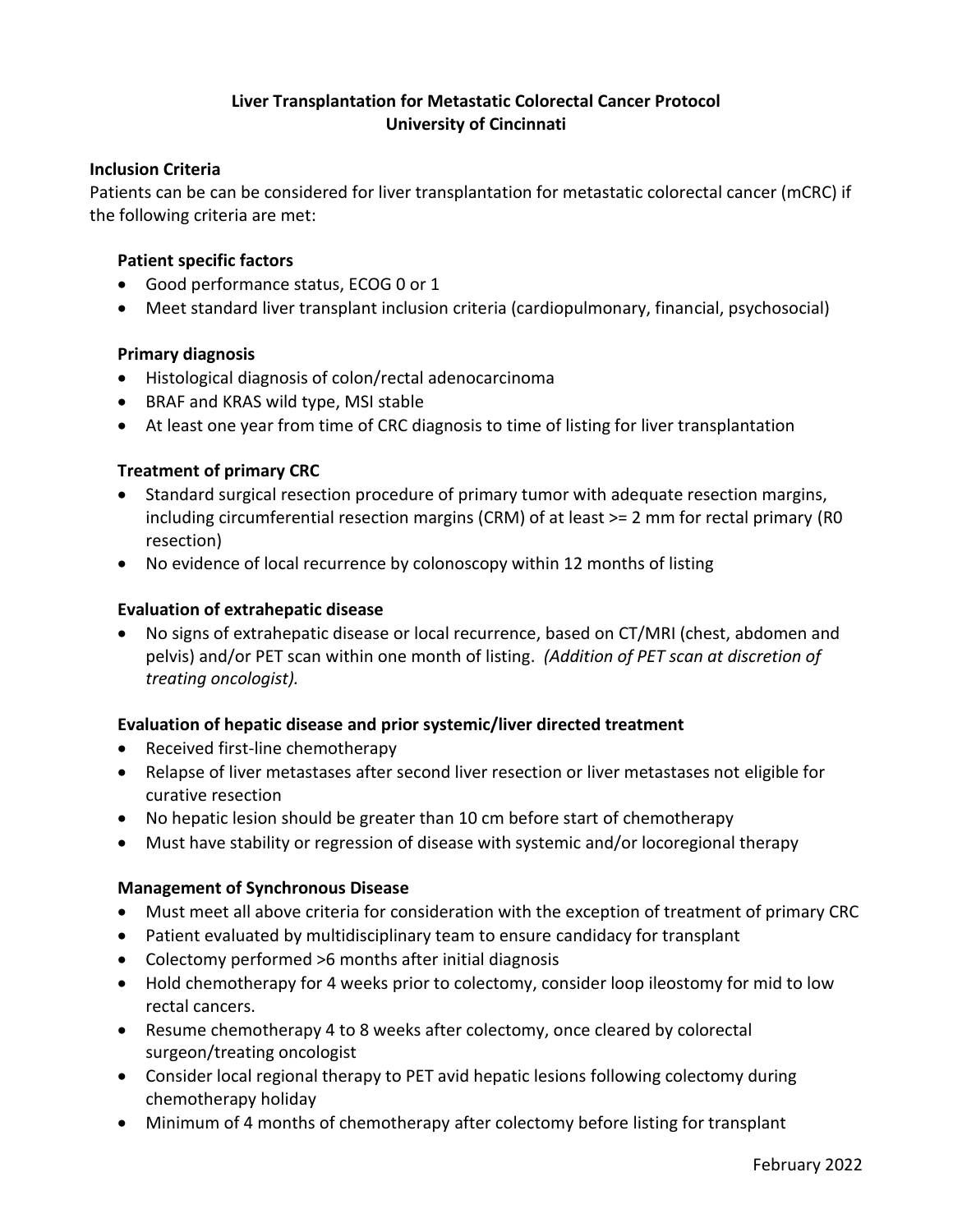# **Liver Transplantation for Metastatic Colorectal Cancer Protocol University of Cincinnati**

## **Inclusion Criteria**

Patients can be can be considered for liver transplantation for metastatic colorectal cancer (mCRC) if the following criteria are met:

## **Patient specific factors**

- Good performance status, ECOG 0 or 1
- Meet standard liver transplant inclusion criteria (cardiopulmonary, financial, psychosocial)

## **Primary diagnosis**

- Histological diagnosis of colon/rectal adenocarcinoma
- BRAF and KRAS wild type, MSI stable
- At least one year from time of CRC diagnosis to time of listing for liver transplantation

## **Treatment of primary CRC**

- Standard surgical resection procedure of primary tumor with adequate resection margins, including circumferential resection margins (CRM) of at least >= 2 mm for rectal primary (R0 resection)
- No evidence of local recurrence by colonoscopy within 12 months of listing

## **Evaluation of extrahepatic disease**

• No signs of extrahepatic disease or local recurrence, based on CT/MRI (chest, abdomen and pelvis) and/or PET scan within one month of listing. *(Addition of PET scan at discretion of treating oncologist).*

### **Evaluation of hepatic disease and prior systemic/liver directed treatment**

- Received first-line chemotherapy
- Relapse of liver metastases after second liver resection or liver metastases not eligible for curative resection
- No hepatic lesion should be greater than 10 cm before start of chemotherapy
- Must have stability or regression of disease with systemic and/or locoregional therapy

### **Management of Synchronous Disease**

- Must meet all above criteria for consideration with the exception of treatment of primary CRC
- Patient evaluated by multidisciplinary team to ensure candidacy for transplant
- Colectomy performed >6 months after initial diagnosis
- Hold chemotherapy for 4 weeks prior to colectomy, consider loop ileostomy for mid to low rectal cancers.
- Resume chemotherapy 4 to 8 weeks after colectomy, once cleared by colorectal surgeon/treating oncologist
- Consider local regional therapy to PET avid hepatic lesions following colectomy during chemotherapy holiday
- Minimum of 4 months of chemotherapy after colectomy before listing for transplant